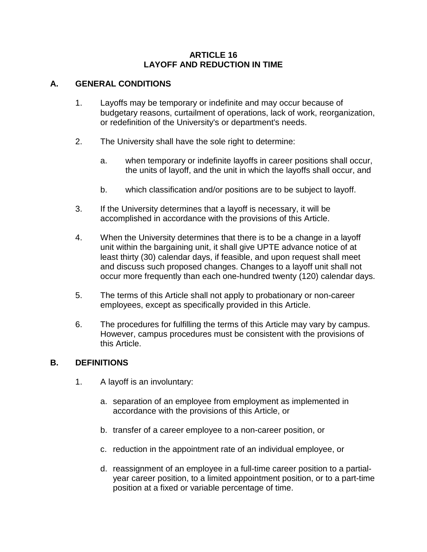#### **ARTICLE 16 LAYOFF AND REDUCTION IN TIME**

#### **A. GENERAL CONDITIONS**

- 1. Layoffs may be temporary or indefinite and may occur because of budgetary reasons, curtailment of operations, lack of work, reorganization, or redefinition of the University's or department's needs.
- 2. The University shall have the sole right to determine:
	- a. when temporary or indefinite layoffs in career positions shall occur, the units of layoff, and the unit in which the layoffs shall occur, and
	- b. which classification and/or positions are to be subject to layoff.
- 3. If the University determines that a layoff is necessary, it will be accomplished in accordance with the provisions of this Article.
- 4. When the University determines that there is to be a change in a layoff unit within the bargaining unit, it shall give UPTE advance notice of at least thirty (30) calendar days, if feasible, and upon request shall meet and discuss such proposed changes. Changes to a layoff unit shall not occur more frequently than each one-hundred twenty (120) calendar days.
- 5. The terms of this Article shall not apply to probationary or non-career employees, except as specifically provided in this Article.
- 6. The procedures for fulfilling the terms of this Article may vary by campus. However, campus procedures must be consistent with the provisions of this Article.

#### **B. DEFINITIONS**

- 1. A layoff is an involuntary:
	- a. separation of an employee from employment as implemented in accordance with the provisions of this Article, or
	- b. transfer of a career employee to a non-career position, or
	- c. reduction in the appointment rate of an individual employee, or
	- d. reassignment of an employee in a full-time career position to a partialyear career position, to a limited appointment position, or to a part-time position at a fixed or variable percentage of time.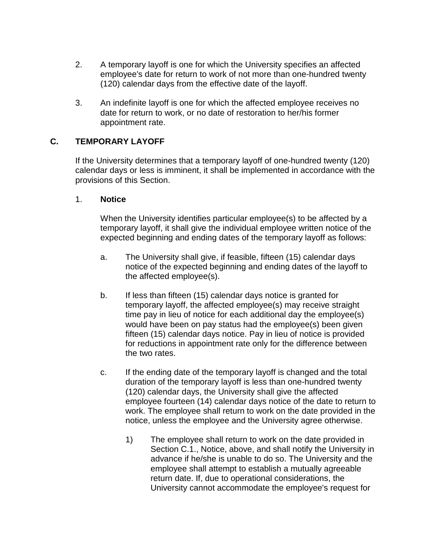- 2. A temporary layoff is one for which the University specifies an affected employee's date for return to work of not more than one-hundred twenty (120) calendar days from the effective date of the layoff.
- 3. An indefinite layoff is one for which the affected employee receives no date for return to work, or no date of restoration to her/his former appointment rate.

# **C. TEMPORARY LAYOFF**

If the University determines that a temporary layoff of one-hundred twenty (120) calendar days or less is imminent, it shall be implemented in accordance with the provisions of this Section.

#### 1. **Notice**

When the University identifies particular employee(s) to be affected by a temporary layoff, it shall give the individual employee written notice of the expected beginning and ending dates of the temporary layoff as follows:

- a. The University shall give, if feasible, fifteen (15) calendar days notice of the expected beginning and ending dates of the layoff to the affected employee(s).
- b. If less than fifteen (15) calendar days notice is granted for temporary layoff, the affected employee(s) may receive straight time pay in lieu of notice for each additional day the employee(s) would have been on pay status had the employee(s) been given fifteen (15) calendar days notice. Pay in lieu of notice is provided for reductions in appointment rate only for the difference between the two rates.
- c. If the ending date of the temporary layoff is changed and the total duration of the temporary layoff is less than one-hundred twenty (120) calendar days, the University shall give the affected employee fourteen (14) calendar days notice of the date to return to work. The employee shall return to work on the date provided in the notice, unless the employee and the University agree otherwise.
	- 1) The employee shall return to work on the date provided in Section C.1., Notice, above, and shall notify the University in advance if he/she is unable to do so. The University and the employee shall attempt to establish a mutually agreeable return date. If, due to operational considerations, the University cannot accommodate the employee's request for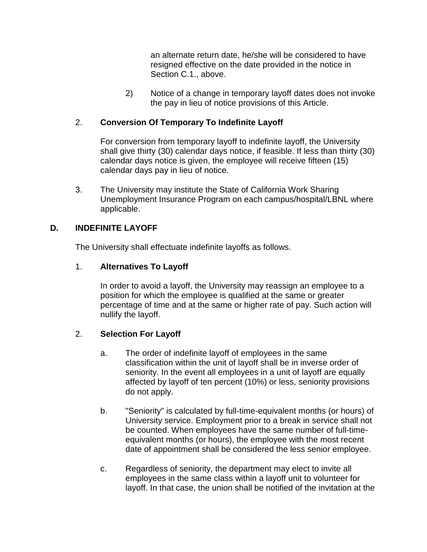an alternate return date, he/she will be considered to have resigned effective on the date provided in the notice in Section C.1., above.

2) Notice of a change in temporary layoff dates does not invoke the pay in lieu of notice provisions of this Article.

### 2. **Conversion Of Temporary To Indefinite Layoff**

For conversion from temporary layoff to indefinite layoff, the University shall give thirty (30) calendar days notice, if feasible. If less than thirty (30) calendar days notice is given, the employee will receive fifteen (15) calendar days pay in lieu of notice.

3. The University may institute the State of California Work Sharing Unemployment Insurance Program on each campus/hospital/LBNL where applicable.

### **D. INDEFINITE LAYOFF**

The University shall effectuate indefinite layoffs as follows.

### 1. **Alternatives To Layoff**

In order to avoid a layoff, the University may reassign an employee to a position for which the employee is qualified at the same or greater percentage of time and at the same or higher rate of pay. Such action will nullify the layoff.

## 2. **Selection For Layoff**

- a. The order of indefinite layoff of employees in the same classification within the unit of layoff shall be in inverse order of seniority. In the event all employees in a unit of layoff are equally affected by layoff of ten percent (10%) or less, seniority provisions do not apply.
- b. "Seniority" is calculated by full-time-equivalent months (or hours) of University service. Employment prior to a break in service shall not be counted. When employees have the same number of full-timeequivalent months (or hours), the employee with the most recent date of appointment shall be considered the less senior employee.
- c. Regardless of seniority, the department may elect to invite all employees in the same class within a layoff unit to volunteer for layoff. In that case, the union shall be notified of the invitation at the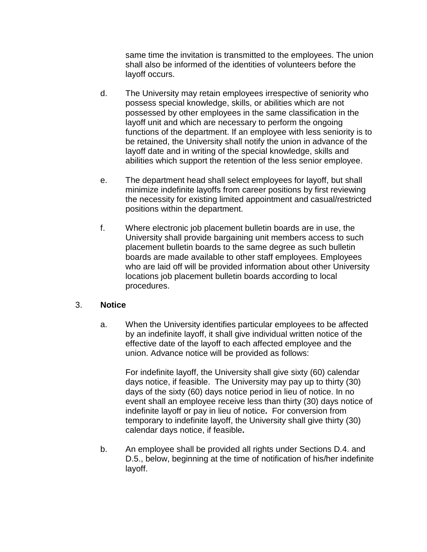same time the invitation is transmitted to the employees. The union shall also be informed of the identities of volunteers before the layoff occurs.

- d. The University may retain employees irrespective of seniority who possess special knowledge, skills, or abilities which are not possessed by other employees in the same classification in the layoff unit and which are necessary to perform the ongoing functions of the department. If an employee with less seniority is to be retained, the University shall notify the union in advance of the layoff date and in writing of the special knowledge, skills and abilities which support the retention of the less senior employee.
- e. The department head shall select employees for layoff, but shall minimize indefinite layoffs from career positions by first reviewing the necessity for existing limited appointment and casual/restricted positions within the department.
- f. Where electronic job placement bulletin boards are in use, the University shall provide bargaining unit members access to such placement bulletin boards to the same degree as such bulletin boards are made available to other staff employees. Employees who are laid off will be provided information about other University locations job placement bulletin boards according to local procedures.

#### 3. **Notice**

a. When the University identifies particular employees to be affected by an indefinite layoff, it shall give individual written notice of the effective date of the layoff to each affected employee and the union. Advance notice will be provided as follows:

For indefinite layoff, the University shall give sixty (60) calendar days notice, if feasible. The University may pay up to thirty (30) days of the sixty (60) days notice period in lieu of notice. In no event shall an employee receive less than thirty (30) days notice of indefinite layoff or pay in lieu of notice**.** For conversion from temporary to indefinite layoff, the University shall give thirty (30) calendar days notice, if feasible**.**

b. An employee shall be provided all rights under Sections D.4. and D.5., below, beginning at the time of notification of his/her indefinite layoff.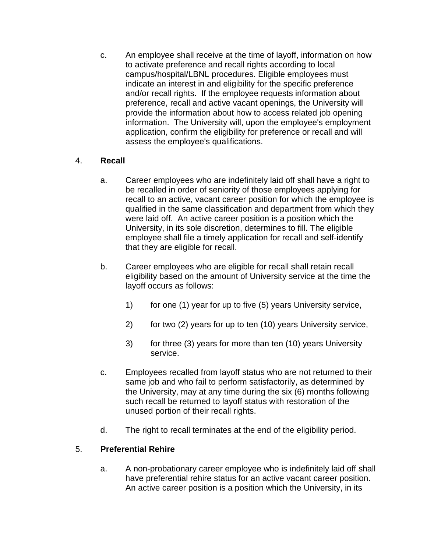c. An employee shall receive at the time of layoff, information on how to activate preference and recall rights according to local campus/hospital/LBNL procedures. Eligible employees must indicate an interest in and eligibility for the specific preference and/or recall rights. If the employee requests information about preference, recall and active vacant openings, the University will provide the information about how to access related job opening information. The University will, upon the employee's employment application, confirm the eligibility for preference or recall and will assess the employee's qualifications.

## 4. **Recall**

- a. Career employees who are indefinitely laid off shall have a right to be recalled in order of seniority of those employees applying for recall to an active, vacant career position for which the employee is qualified in the same classification and department from which they were laid off. An active career position is a position which the University, in its sole discretion, determines to fill. The eligible employee shall file a timely application for recall and self-identify that they are eligible for recall.
- b. Career employees who are eligible for recall shall retain recall eligibility based on the amount of University service at the time the layoff occurs as follows:
	- 1) for one (1) year for up to five (5) years University service,
	- 2) for two (2) years for up to ten (10) years University service,
	- 3) for three (3) years for more than ten (10) years University service.
- c. Employees recalled from layoff status who are not returned to their same job and who fail to perform satisfactorily, as determined by the University, may at any time during the six (6) months following such recall be returned to layoff status with restoration of the unused portion of their recall rights.
- d. The right to recall terminates at the end of the eligibility period.

# 5. **Preferential Rehire**

a. A non-probationary career employee who is indefinitely laid off shall have preferential rehire status for an active vacant career position. An active career position is a position which the University, in its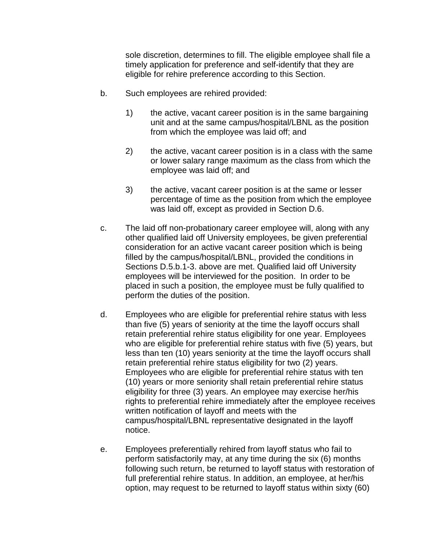sole discretion, determines to fill. The eligible employee shall file a timely application for preference and self-identify that they are eligible for rehire preference according to this Section.

- b. Such employees are rehired provided:
	- 1) the active, vacant career position is in the same bargaining unit and at the same campus/hospital/LBNL as the position from which the employee was laid off; and
	- 2) the active, vacant career position is in a class with the same or lower salary range maximum as the class from which the employee was laid off; and
	- 3) the active, vacant career position is at the same or lesser percentage of time as the position from which the employee was laid off, except as provided in Section D.6.
- c. The laid off non-probationary career employee will, along with any other qualified laid off University employees, be given preferential consideration for an active vacant career position which is being filled by the campus/hospital/LBNL, provided the conditions in Sections D.5.b.1-3. above are met. Qualified laid off University employees will be interviewed for the position. In order to be placed in such a position, the employee must be fully qualified to perform the duties of the position.
- d. Employees who are eligible for preferential rehire status with less than five (5) years of seniority at the time the layoff occurs shall retain preferential rehire status eligibility for one year. Employees who are eligible for preferential rehire status with five (5) years, but less than ten (10) years seniority at the time the layoff occurs shall retain preferential rehire status eligibility for two (2) years. Employees who are eligible for preferential rehire status with ten (10) years or more seniority shall retain preferential rehire status eligibility for three (3) years. An employee may exercise her/his rights to preferential rehire immediately after the employee receives written notification of layoff and meets with the campus/hospital/LBNL representative designated in the layoff notice.
- e. Employees preferentially rehired from layoff status who fail to perform satisfactorily may, at any time during the six (6) months following such return, be returned to layoff status with restoration of full preferential rehire status. In addition, an employee, at her/his option, may request to be returned to layoff status within sixty (60)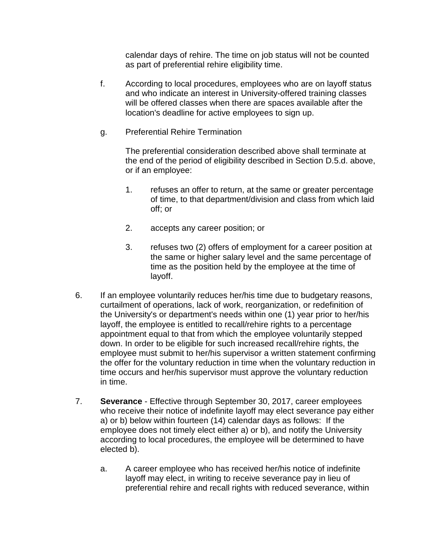calendar days of rehire. The time on job status will not be counted as part of preferential rehire eligibility time.

- f. According to local procedures, employees who are on layoff status and who indicate an interest in University-offered training classes will be offered classes when there are spaces available after the location's deadline for active employees to sign up.
- g. Preferential Rehire Termination

The preferential consideration described above shall terminate at the end of the period of eligibility described in Section D.5.d. above, or if an employee:

- 1. refuses an offer to return, at the same or greater percentage of time, to that department/division and class from which laid off; or
- 2. accepts any career position; or
- 3. refuses two (2) offers of employment for a career position at the same or higher salary level and the same percentage of time as the position held by the employee at the time of layoff.
- 6. If an employee voluntarily reduces her/his time due to budgetary reasons, curtailment of operations, lack of work, reorganization, or redefinition of the University's or department's needs within one (1) year prior to her/his layoff, the employee is entitled to recall/rehire rights to a percentage appointment equal to that from which the employee voluntarily stepped down. In order to be eligible for such increased recall/rehire rights, the employee must submit to her/his supervisor a written statement confirming the offer for the voluntary reduction in time when the voluntary reduction in time occurs and her/his supervisor must approve the voluntary reduction in time.
- 7. **Severance** Effective through September 30, 2017, career employees who receive their notice of indefinite layoff may elect severance pay either a) or b) below within fourteen (14) calendar days as follows: If the employee does not timely elect either a) or b), and notify the University according to local procedures, the employee will be determined to have elected b).
	- a. A career employee who has received her/his notice of indefinite layoff may elect, in writing to receive severance pay in lieu of preferential rehire and recall rights with reduced severance, within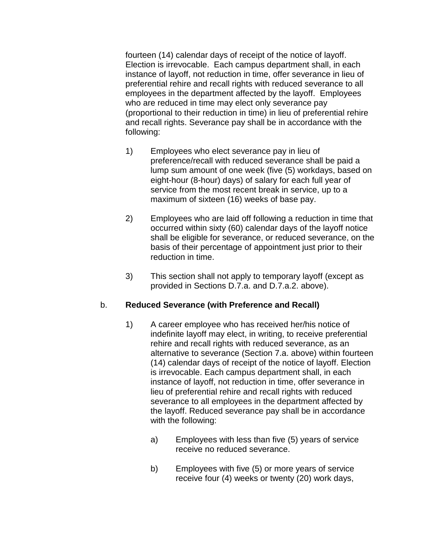fourteen (14) calendar days of receipt of the notice of layoff. Election is irrevocable. Each campus department shall, in each instance of layoff, not reduction in time, offer severance in lieu of preferential rehire and recall rights with reduced severance to all employees in the department affected by the layoff. Employees who are reduced in time may elect only severance pay (proportional to their reduction in time) in lieu of preferential rehire and recall rights. Severance pay shall be in accordance with the following:

- 1) Employees who elect severance pay in lieu of preference/recall with reduced severance shall be paid a lump sum amount of one week (five (5) workdays, based on eight-hour (8-hour) days) of salary for each full year of service from the most recent break in service, up to a maximum of sixteen (16) weeks of base pay.
- 2) Employees who are laid off following a reduction in time that occurred within sixty (60) calendar days of the layoff notice shall be eligible for severance, or reduced severance, on the basis of their percentage of appointment just prior to their reduction in time.
- 3) This section shall not apply to temporary layoff (except as provided in Sections D.7.a. and D.7.a.2. above).

#### b. **Reduced Severance (with Preference and Recall)**

- 1) A career employee who has received her/his notice of indefinite layoff may elect, in writing, to receive preferential rehire and recall rights with reduced severance, as an alternative to severance (Section 7.a. above) within fourteen (14) calendar days of receipt of the notice of layoff. Election is irrevocable. Each campus department shall, in each instance of layoff, not reduction in time, offer severance in lieu of preferential rehire and recall rights with reduced severance to all employees in the department affected by the layoff. Reduced severance pay shall be in accordance with the following:
	- a) Employees with less than five (5) years of service receive no reduced severance.
	- b) Employees with five (5) or more years of service receive four (4) weeks or twenty (20) work days,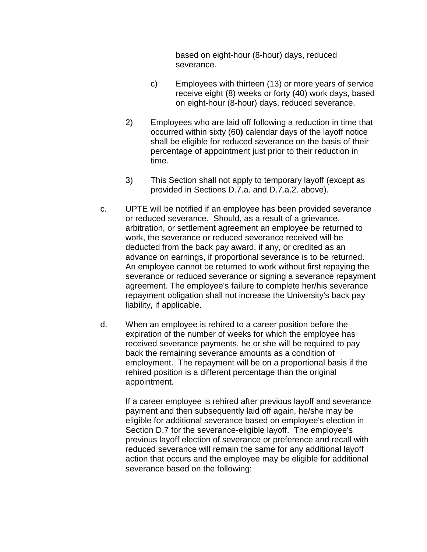based on eight-hour (8-hour) days, reduced severance.

- c) Employees with thirteen (13) or more years of service receive eight (8) weeks or forty (40) work days, based on eight-hour (8-hour) days, reduced severance.
- 2) Employees who are laid off following a reduction in time that occurred within sixty (60**)** calendar days of the layoff notice shall be eligible for reduced severance on the basis of their percentage of appointment just prior to their reduction in time.
- 3) This Section shall not apply to temporary layoff (except as provided in Sections D.7.a. and D.7.a.2. above).
- c. UPTE will be notified if an employee has been provided severance or reduced severance. Should, as a result of a grievance, arbitration, or settlement agreement an employee be returned to work, the severance or reduced severance received will be deducted from the back pay award, if any, or credited as an advance on earnings, if proportional severance is to be returned. An employee cannot be returned to work without first repaying the severance or reduced severance or signing a severance repayment agreement. The employee's failure to complete her/his severance repayment obligation shall not increase the University's back pay liability, if applicable.
- d. When an employee is rehired to a career position before the expiration of the number of weeks for which the employee has received severance payments, he or she will be required to pay back the remaining severance amounts as a condition of employment. The repayment will be on a proportional basis if the rehired position is a different percentage than the original appointment.

If a career employee is rehired after previous layoff and severance payment and then subsequently laid off again, he/she may be eligible for additional severance based on employee's election in Section D.7 for the severance-eligible layoff. The employee's previous layoff election of severance or preference and recall with reduced severance will remain the same for any additional layoff action that occurs and the employee may be eligible for additional severance based on the following: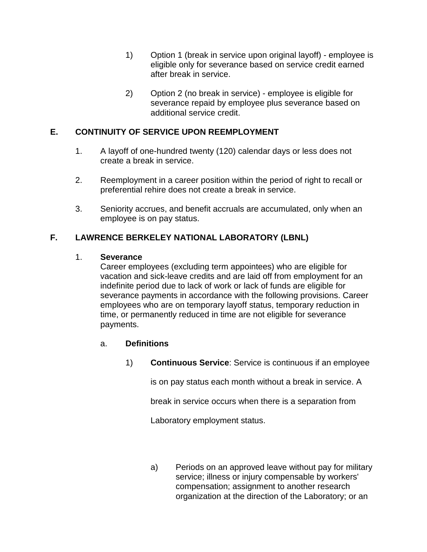- 1) Option 1 (break in service upon original layoff) employee is eligible only for severance based on service credit earned after break in service.
- 2) Option 2 (no break in service) employee is eligible for severance repaid by employee plus severance based on additional service credit.

# **E. CONTINUITY OF SERVICE UPON REEMPLOYMENT**

- 1. A layoff of one-hundred twenty (120) calendar days or less does not create a break in service.
- 2. Reemployment in a career position within the period of right to recall or preferential rehire does not create a break in service.
- 3. Seniority accrues, and benefit accruals are accumulated, only when an employee is on pay status.

# **F. LAWRENCE BERKELEY NATIONAL LABORATORY (LBNL)**

### 1. **Severance**

Career employees (excluding term appointees) who are eligible for vacation and sick-leave credits and are laid off from employment for an indefinite period due to lack of work or lack of funds are eligible for severance payments in accordance with the following provisions. Career employees who are on temporary layoff status, temporary reduction in time, or permanently reduced in time are not eligible for severance payments.

#### a. **Definitions**

1) **Continuous Service**: Service is continuous if an employee

is on pay status each month without a break in service. A

break in service occurs when there is a separation from

Laboratory employment status.

a) Periods on an approved leave without pay for military service; illness or injury compensable by workers' compensation; assignment to another research organization at the direction of the Laboratory; or an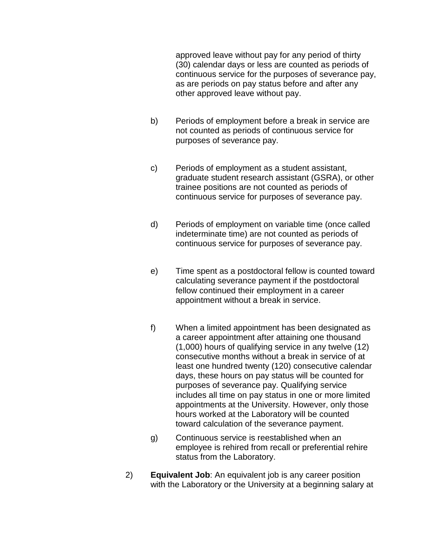approved leave without pay for any period of thirty (30) calendar days or less are counted as periods of continuous service for the purposes of severance pay, as are periods on pay status before and after any other approved leave without pay.

- b) Periods of employment before a break in service are not counted as periods of continuous service for purposes of severance pay.
- c) Periods of employment as a student assistant, graduate student research assistant (GSRA), or other trainee positions are not counted as periods of continuous service for purposes of severance pay.
- d) Periods of employment on variable time (once called indeterminate time) are not counted as periods of continuous service for purposes of severance pay.
- e) Time spent as a postdoctoral fellow is counted toward calculating severance payment if the postdoctoral fellow continued their employment in a career appointment without a break in service.
- f) When a limited appointment has been designated as a career appointment after attaining one thousand (1,000) hours of qualifying service in any twelve (12) consecutive months without a break in service of at least one hundred twenty (120) consecutive calendar days, these hours on pay status will be counted for purposes of severance pay. Qualifying service includes all time on pay status in one or more limited appointments at the University. However, only those hours worked at the Laboratory will be counted toward calculation of the severance payment.
- g) Continuous service is reestablished when an employee is rehired from recall or preferential rehire status from the Laboratory.
- 2) **Equivalent Job**: An equivalent job is any career position with the Laboratory or the University at a beginning salary at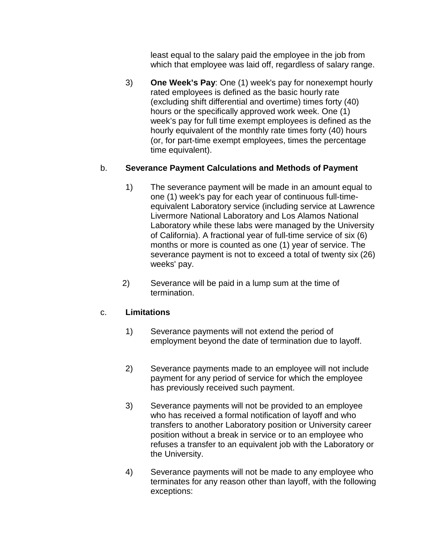least equal to the salary paid the employee in the job from which that employee was laid off, regardless of salary range.

3) **One Week's Pay**: One (1) week's pay for nonexempt hourly rated employees is defined as the basic hourly rate (excluding shift differential and overtime) times forty (40) hours or the specifically approved work week. One (1) week's pay for full time exempt employees is defined as the hourly equivalent of the monthly rate times forty (40) hours (or, for part-time exempt employees, times the percentage time equivalent).

## b. **Severance Payment Calculations and Methods of Payment**

- 1) The severance payment will be made in an amount equal to one (1) week's pay for each year of continuous full-timeequivalent Laboratory service (including service at Lawrence Livermore National Laboratory and Los Alamos National Laboratory while these labs were managed by the University of California). A fractional year of full-time service of six (6) months or more is counted as one (1) year of service. The severance payment is not to exceed a total of twenty six (26) weeks' pay.
- 2) Severance will be paid in a lump sum at the time of termination.

#### c. **Limitations**

- 1) Severance payments will not extend the period of employment beyond the date of termination due to layoff.
- 2) Severance payments made to an employee will not include payment for any period of service for which the employee has previously received such payment.
- 3) Severance payments will not be provided to an employee who has received a formal notification of layoff and who transfers to another Laboratory position or University career position without a break in service or to an employee who refuses a transfer to an equivalent job with the Laboratory or the University.
- 4) Severance payments will not be made to any employee who terminates for any reason other than layoff, with the following exceptions: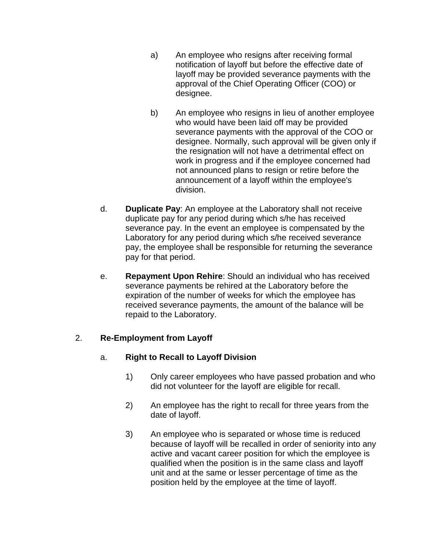- a) An employee who resigns after receiving formal notification of layoff but before the effective date of layoff may be provided severance payments with the approval of the Chief Operating Officer (COO) or designee.
- b) An employee who resigns in lieu of another employee who would have been laid off may be provided severance payments with the approval of the COO or designee. Normally, such approval will be given only if the resignation will not have a detrimental effect on work in progress and if the employee concerned had not announced plans to resign or retire before the announcement of a layoff within the employee's division.
- d. **Duplicate Pay**: An employee at the Laboratory shall not receive duplicate pay for any period during which s/he has received severance pay. In the event an employee is compensated by the Laboratory for any period during which s/he received severance pay, the employee shall be responsible for returning the severance pay for that period.
- e. **Repayment Upon Rehire**: Should an individual who has received severance payments be rehired at the Laboratory before the expiration of the number of weeks for which the employee has received severance payments, the amount of the balance will be repaid to the Laboratory.

## 2. **Re-Employment from Layoff**

# a. **Right to Recall to Layoff Division**

- 1) Only career employees who have passed probation and who did not volunteer for the layoff are eligible for recall.
- 2) An employee has the right to recall for three years from the date of layoff.
- 3) An employee who is separated or whose time is reduced because of layoff will be recalled in order of seniority into any active and vacant career position for which the employee is qualified when the position is in the same class and layoff unit and at the same or lesser percentage of time as the position held by the employee at the time of layoff.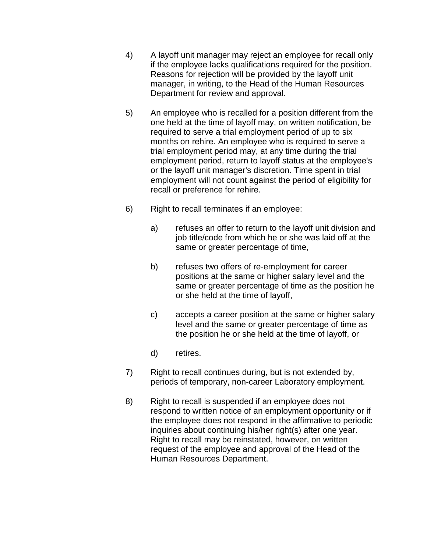- 4) A layoff unit manager may reject an employee for recall only if the employee lacks qualifications required for the position. Reasons for rejection will be provided by the layoff unit manager, in writing, to the Head of the Human Resources Department for review and approval.
- 5) An employee who is recalled for a position different from the one held at the time of layoff may, on written notification, be required to serve a trial employment period of up to six months on rehire. An employee who is required to serve a trial employment period may, at any time during the trial employment period, return to layoff status at the employee's or the layoff unit manager's discretion. Time spent in trial employment will not count against the period of eligibility for recall or preference for rehire.
- 6) Right to recall terminates if an employee:
	- a) refuses an offer to return to the layoff unit division and job title/code from which he or she was laid off at the same or greater percentage of time,
	- b) refuses two offers of re-employment for career positions at the same or higher salary level and the same or greater percentage of time as the position he or she held at the time of layoff,
	- c) accepts a career position at the same or higher salary level and the same or greater percentage of time as the position he or she held at the time of layoff, or
	- d) retires.
- 7) Right to recall continues during, but is not extended by, periods of temporary, non-career Laboratory employment.
- 8) Right to recall is suspended if an employee does not respond to written notice of an employment opportunity or if the employee does not respond in the affirmative to periodic inquiries about continuing his/her right(s) after one year. Right to recall may be reinstated, however, on written request of the employee and approval of the Head of the Human Resources Department.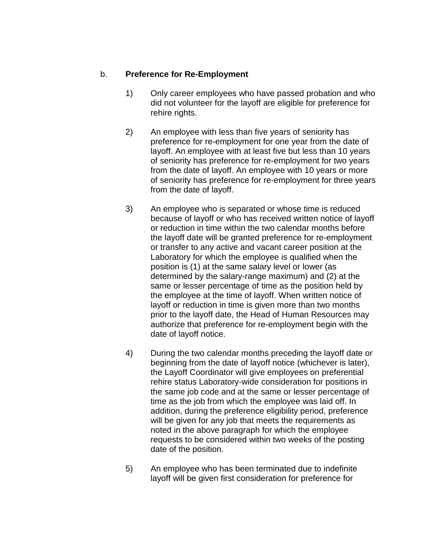#### b. **Preference for Re-Employment**

- 1) Only career employees who have passed probation and who did not volunteer for the layoff are eligible for preference for rehire rights.
- 2) An employee with less than five years of seniority has preference for re-employment for one year from the date of layoff. An employee with at least five but less than 10 years of seniority has preference for re-employment for two years from the date of layoff. An employee with 10 years or more of seniority has preference for re-employment for three years from the date of layoff.
- 3) An employee who is separated or whose time is reduced because of layoff or who has received written notice of layoff or reduction in time within the two calendar months before the layoff date will be granted preference for re-employment or transfer to any active and vacant career position at the Laboratory for which the employee is qualified when the position is (1) at the same salary level or lower (as determined by the salary-range maximum) and (2) at the same or lesser percentage of time as the position held by the employee at the time of layoff. When written notice of layoff or reduction in time is given more than two months prior to the layoff date, the Head of Human Resources may authorize that preference for re-employment begin with the date of layoff notice.
- 4) During the two calendar months preceding the layoff date or beginning from the date of layoff notice (whichever is later), the Layoff Coordinator will give employees on preferential rehire status Laboratory-wide consideration for positions in the same job code and at the same or lesser percentage of time as the job from which the employee was laid off. In addition, during the preference eligibility period, preference will be given for any job that meets the requirements as noted in the above paragraph for which the employee requests to be considered within two weeks of the posting date of the position.
- 5) An employee who has been terminated due to indefinite layoff will be given first consideration for preference for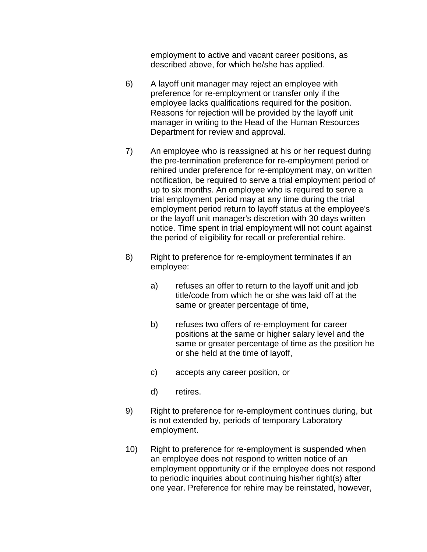employment to active and vacant career positions, as described above, for which he/she has applied.

- 6) A layoff unit manager may reject an employee with preference for re-employment or transfer only if the employee lacks qualifications required for the position. Reasons for rejection will be provided by the layoff unit manager in writing to the Head of the Human Resources Department for review and approval.
- 7) An employee who is reassigned at his or her request during the pre-termination preference for re-employment period or rehired under preference for re-employment may, on written notification, be required to serve a trial employment period of up to six months. An employee who is required to serve a trial employment period may at any time during the trial employment period return to layoff status at the employee's or the layoff unit manager's discretion with 30 days written notice. Time spent in trial employment will not count against the period of eligibility for recall or preferential rehire.
- 8) Right to preference for re-employment terminates if an employee:
	- a) refuses an offer to return to the layoff unit and job title/code from which he or she was laid off at the same or greater percentage of time,
	- b) refuses two offers of re-employment for career positions at the same or higher salary level and the same or greater percentage of time as the position he or she held at the time of layoff,
	- c) accepts any career position, or
	- d) retires.
- 9) Right to preference for re-employment continues during, but is not extended by, periods of temporary Laboratory employment.
- 10) Right to preference for re-employment is suspended when an employee does not respond to written notice of an employment opportunity or if the employee does not respond to periodic inquiries about continuing his/her right(s) after one year. Preference for rehire may be reinstated, however,